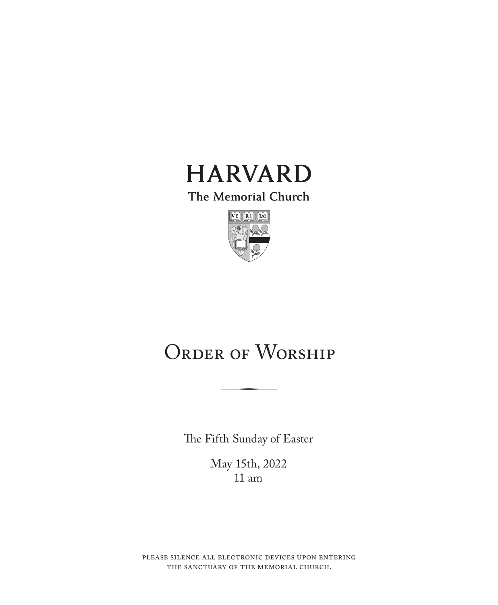

The Memorial Church



# ORDER OF WORSHIP

The Fifth Sunday of Easter

May 15th, 2022 11 am

please silence all electronic devices upon entering the sanctuary of the memorial church.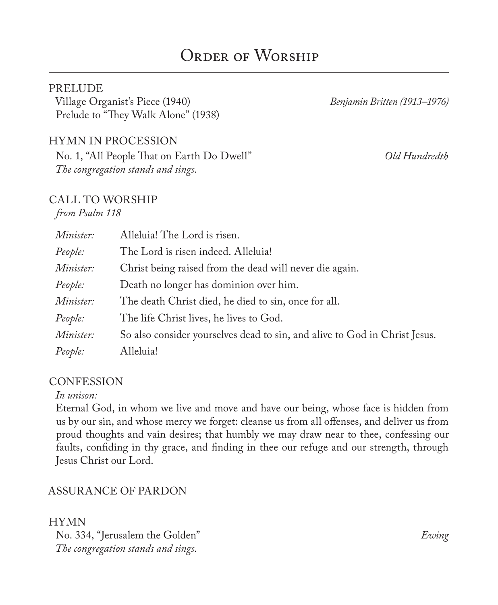## ORDER OF WORSHIP

#### **PRELUDE**

Village Organist's Piece (1940) *Benjamin Britten (1913–1976)* Prelude to "They Walk Alone" (1938)

#### HYMN IN PROCESSION

No. 1, "All People That on Earth Do Dwell" *Old Hundredth The congregation stands and sings.*

#### CALL TO WORSHIP

*from Psalm 118*

| Minister:        | Alleluia! The Lord is risen.                                               |
|------------------|----------------------------------------------------------------------------|
| People:          | The Lord is risen indeed. Alleluia!                                        |
| Minister:        | Christ being raised from the dead will never die again.                    |
| People:          | Death no longer has dominion over him.                                     |
| Minister:        | The death Christ died, he died to sin, once for all.                       |
| People:          | The life Christ lives, he lives to God.                                    |
| <i>Minister:</i> | So also consider yourselves dead to sin, and alive to God in Christ Jesus. |
| People:          | Alleluia!                                                                  |

#### **CONFESSION**

#### *In unison:*

Eternal God, in whom we live and move and have our being, whose face is hidden from us by our sin, and whose mercy we forget: cleanse us from all offenses, and deliver us from proud thoughts and vain desires; that humbly we may draw near to thee, confessing our faults, confiding in thy grace, and finding in thee our refuge and our strength, through Jesus Christ our Lord.

#### ASSURANCE OF PARDON

HYMN No. 334, "Jerusalem the Golden" *Ewing The congregation stands and sings.*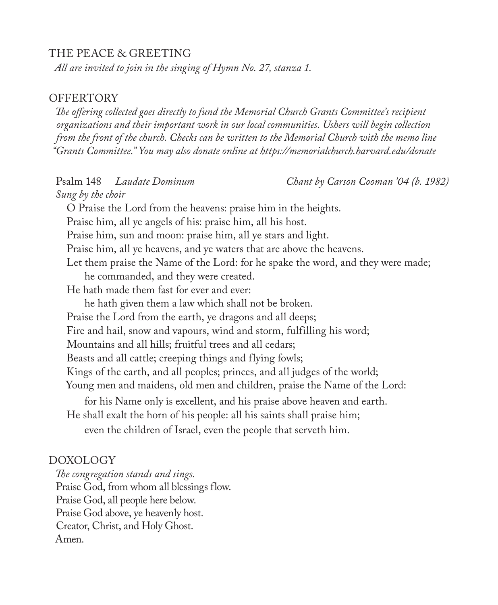#### THE PEACE & GREETING

*All are invited to join in the singing of Hymn No. 27, stanza 1.*

#### **OFFERTORY**

*The offering collected goes directly to fund the Memorial Church Grants Committee's recipient organizations and their important work in our local communities. Ushers will begin collection from the front of the church. Checks can be written to the Memorial Church with the memo line "Grants Committee." You may also donate online at https://memorialchurch.harvard.edu/donate* 

Psalm 148 *Laudate Dominum Chant by Carson Cooman '04 (b. 1982) Sung by the choir* O Praise the Lord from the heavens: praise him in the heights. Praise him, all ye angels of his: praise him, all his host. Praise him, sun and moon: praise him, all ye stars and light. Praise him, all ye heavens, and ye waters that are above the heavens. Let them praise the Name of the Lord: for he spake the word, and they were made; he commanded, and they were created. He hath made them fast for ever and ever: he hath given them a law which shall not be broken. Praise the Lord from the earth, ye dragons and all deeps; Fire and hail, snow and vapours, wind and storm, fulfilling his word; Mountains and all hills; fruitful trees and all cedars; Beasts and all cattle; creeping things and flying fowls; Kings of the earth, and all peoples; princes, and all judges of the world; Young men and maidens, old men and children, praise the Name of the Lord: for his Name only is excellent, and his praise above heaven and earth. He shall exalt the horn of his people: all his saints shall praise him; even the children of Israel, even the people that serveth him.

#### DOXOLOGY

*The congregation stands and sings.* Praise God, from whom all blessings flow. Praise God, all people here below. Praise God above, ye heavenly host. Creator, Christ, and Holy Ghost. Amen.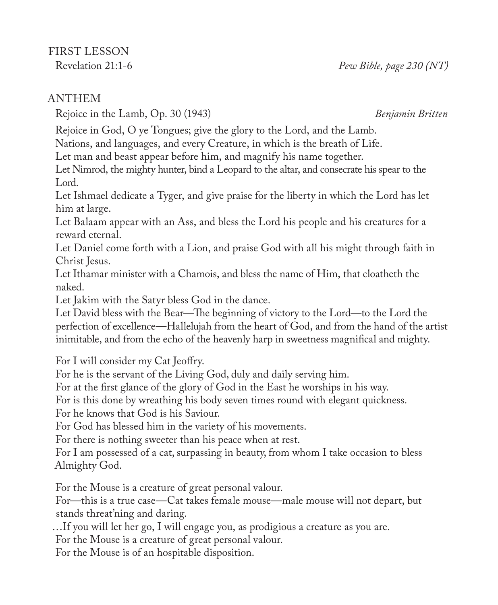Rejoice in the Lamb, Op. 30 (1943) *Benjamin Britten*

Rejoice in God, O ye Tongues; give the glory to the Lord, and the Lamb.

Nations, and languages, and every Creature, in which is the breath of Life.

Let man and beast appear before him, and magnify his name together.

Let Nimrod, the mighty hunter, bind a Leopard to the altar, and consecrate his spear to the Lord.

Let Ishmael dedicate a Tyger, and give praise for the liberty in which the Lord has let him at large.

Let Balaam appear with an Ass, and bless the Lord his people and his creatures for a reward eternal.

Let Daniel come forth with a Lion, and praise God with all his might through faith in Christ Jesus.

Let Ithamar minister with a Chamois, and bless the name of Him, that cloatheth the naked.

Let Jakim with the Satyr bless God in the dance.

Let David bless with the Bear—The beginning of victory to the Lord—to the Lord the perfection of excellence—Hallelujah from the heart of God, and from the hand of the artist inimitable, and from the echo of the heavenly harp in sweetness magnifical and mighty.

For I will consider my Cat Jeoffry.

For he is the servant of the Living God, duly and daily serving him.

For at the first glance of the glory of God in the East he worships in his way.

For is this done by wreathing his body seven times round with elegant quickness.

For he knows that God is his Saviour.

For God has blessed him in the variety of his movements.

For there is nothing sweeter than his peace when at rest.

For I am possessed of a cat, surpassing in beauty, from whom I take occasion to bless Almighty God.

For the Mouse is a creature of great personal valour.

For—this is a true case—Cat takes female mouse—male mouse will not depart, but stands threat'ning and daring.

…If you will let her go, I will engage you, as prodigious a creature as you are.

For the Mouse is a creature of great personal valour.

For the Mouse is of an hospitable disposition.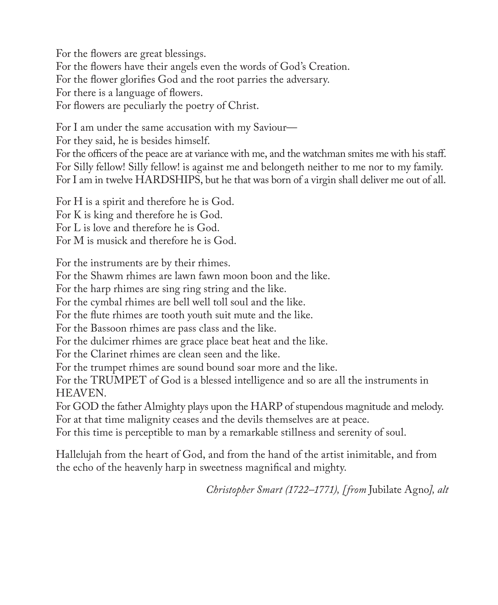For the flowers are great blessings. For the flowers have their angels even the words of God's Creation. For the flower glorifies God and the root parries the adversary. For there is a language of flowers. For flowers are peculiarly the poetry of Christ.

For I am under the same accusation with my Saviour—

For they said, he is besides himself.

For the officers of the peace are at variance with me, and the watchman smites me with his staff. For Silly fellow! Silly fellow! is against me and belongeth neither to me nor to my family. For I am in twelve HARDSHIPS, but he that was born of a virgin shall deliver me out of all.

For H is a spirit and therefore he is God. For K is king and therefore he is God. For L is love and therefore he is God. For M is musick and therefore he is God.

For the instruments are by their rhimes.

For the Shawm rhimes are lawn fawn moon boon and the like.

For the harp rhimes are sing ring string and the like.

For the cymbal rhimes are bell well toll soul and the like.

For the flute rhimes are tooth youth suit mute and the like.

For the Bassoon rhimes are pass class and the like.

For the dulcimer rhimes are grace place beat heat and the like.

For the Clarinet rhimes are clean seen and the like.

For the trumpet rhimes are sound bound soar more and the like.

For the TRUMPET of God is a blessed intelligence and so are all the instruments in HEAVEN.

For GOD the father Almighty plays upon the HARP of stupendous magnitude and melody. For at that time malignity ceases and the devils themselves are at peace.

For this time is perceptible to man by a remarkable stillness and serenity of soul.

Hallelujah from the heart of God, and from the hand of the artist inimitable, and from the echo of the heavenly harp in sweetness magnifical and mighty.

*Christopher Smart (1722–1771), [from* Jubilate Agno*], alt*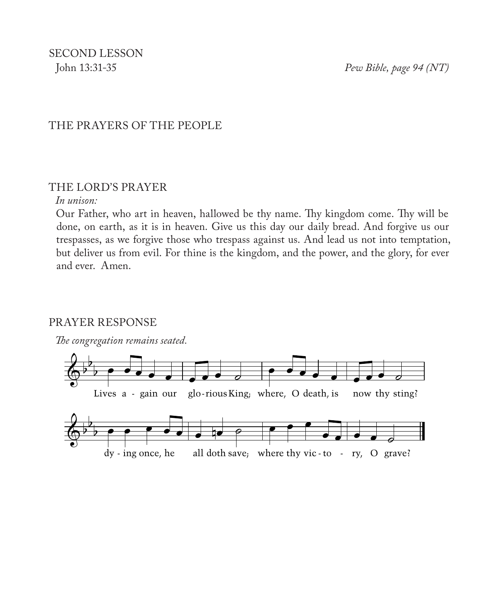SECOND LESSON

John 13:31-35 *Pew Bible, page 94 (NT)*

#### THE PRAYERS OF THE PEOPLE

#### THE LORD'S PRAYER

#### *In unison:*

Our Father, who art in heaven, hallowed be thy name. Thy kingdom come. Thy will be done, on earth, as it is in heaven. Give us this day our daily bread. And forgive us our trespasses, as we forgive those who trespass against us. And lead us not into temptation, but deliver us from evil. For thine is the kingdom, and the power, and the glory, for ever and ever. Amen.

#### PRAYER RESPONSE

*The congregation remains seated.*

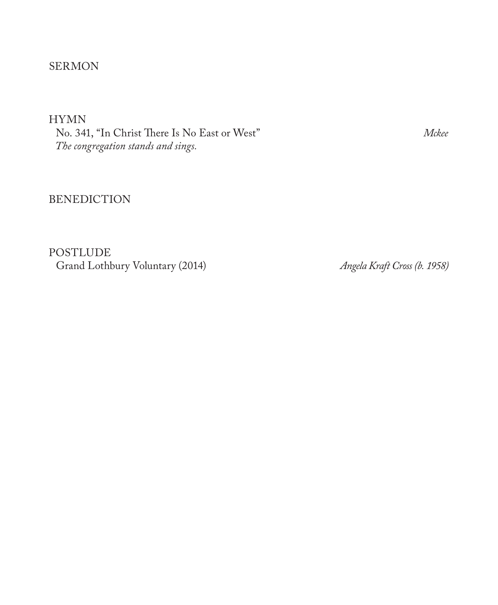## SERMON

HYMN

No. 341, "In Christ There Is No East or West" *Mckee The congregation stands and sings.*

#### BENEDICTION

POSTLUDE Grand Lothbury Voluntary (2014) *Angela Kraft Cross (b. 1958)*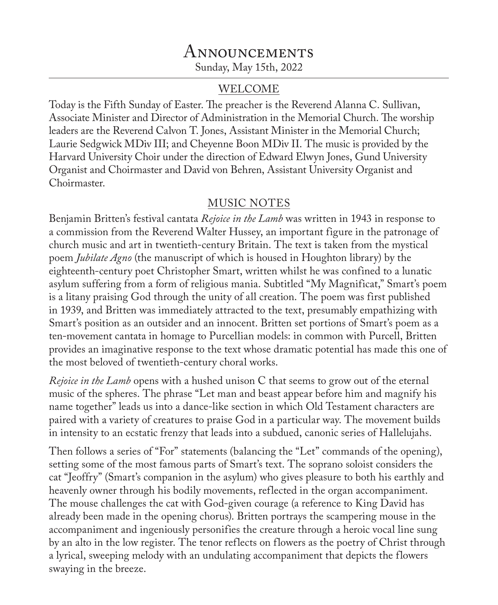## **ANNOUNCEMENTS** Sunday, May 15th, 2022

#### WELCOME

Today is the Fifth Sunday of Easter. The preacher is the Reverend Alanna C. Sullivan, Associate Minister and Director of Administration in the Memorial Church. The worship leaders are the Reverend Calvon T. Jones, Assistant Minister in the Memorial Church; Laurie Sedgwick MDiv III; and Cheyenne Boon MDiv II. The music is provided by the Harvard University Choir under the direction of Edward Elwyn Jones, Gund University Organist and Choirmaster and David von Behren, Assistant University Organist and Choirmaster.

#### MUSIC NOTES

Benjamin Britten's festival cantata *Rejoice in the Lamb* was written in 1943 in response to a commission from the Reverend Walter Hussey, an important figure in the patronage of church music and art in twentieth-century Britain. The text is taken from the mystical poem *Jubilate Agno* (the manuscript of which is housed in Houghton library) by the eighteenth-century poet Christopher Smart, written whilst he was confined to a lunatic asylum suffering from a form of religious mania. Subtitled "My Magnificat," Smart's poem is a litany praising God through the unity of all creation. The poem was first published in 1939, and Britten was immediately attracted to the text, presumably empathizing with Smart's position as an outsider and an innocent. Britten set portions of Smart's poem as a ten-movement cantata in homage to Purcellian models: in common with Purcell, Britten provides an imaginative response to the text whose dramatic potential has made this one of the most beloved of twentieth-century choral works.

*Rejoice in the Lamb* opens with a hushed unison C that seems to grow out of the eternal music of the spheres. The phrase "Let man and beast appear before him and magnify his name together" leads us into a dance-like section in which Old Testament characters are paired with a variety of creatures to praise God in a particular way. The movement builds in intensity to an ecstatic frenzy that leads into a subdued, canonic series of Hallelujahs.

Then follows a series of "For" statements (balancing the "Let" commands of the opening), setting some of the most famous parts of Smart's text. The soprano soloist considers the cat "Jeoffry" (Smart's companion in the asylum) who gives pleasure to both his earthly and heavenly owner through his bodily movements, reflected in the organ accompaniment. The mouse challenges the cat with God-given courage (a reference to King David has already been made in the opening chorus). Britten portrays the scampering mouse in the accompaniment and ingeniously personifies the creature through a heroic vocal line sung by an alto in the low register. The tenor reflects on flowers as the poetry of Christ through a lyrical, sweeping melody with an undulating accompaniment that depicts the flowers swaying in the breeze.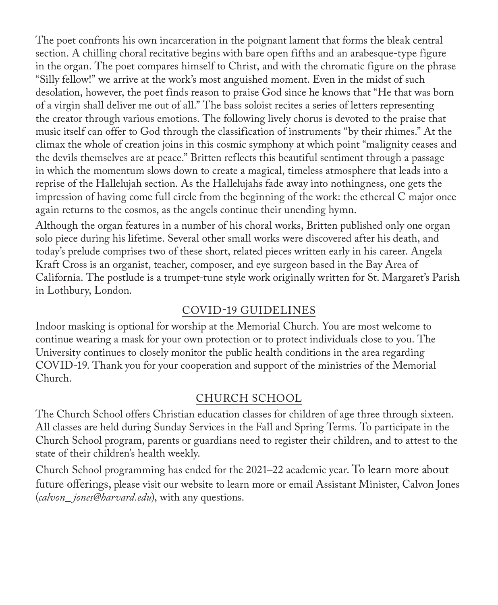The poet confronts his own incarceration in the poignant lament that forms the bleak central section. A chilling choral recitative begins with bare open fifths and an arabesque-type figure in the organ. The poet compares himself to Christ, and with the chromatic figure on the phrase "Silly fellow!" we arrive at the work's most anguished moment. Even in the midst of such desolation, however, the poet finds reason to praise God since he knows that "He that was born of a virgin shall deliver me out of all." The bass soloist recites a series of letters representing the creator through various emotions. The following lively chorus is devoted to the praise that music itself can offer to God through the classification of instruments "by their rhimes." At the climax the whole of creation joins in this cosmic symphony at which point "malignity ceases and the devils themselves are at peace." Britten reflects this beautiful sentiment through a passage in which the momentum slows down to create a magical, timeless atmosphere that leads into a reprise of the Hallelujah section. As the Hallelujahs fade away into nothingness, one gets the impression of having come full circle from the beginning of the work: the ethereal C major once again returns to the cosmos, as the angels continue their unending hymn.

Although the organ features in a number of his choral works, Britten published only one organ solo piece during his lifetime. Several other small works were discovered after his death, and today's prelude comprises two of these short, related pieces written early in his career. Angela Kraft Cross is an organist, teacher, composer, and eye surgeon based in the Bay Area of California. The postlude is a trumpet-tune style work originally written for St. Margaret's Parish in Lothbury, London.

## COVID-19 GUIDELINES

Indoor masking is optional for worship at the Memorial Church. You are most welcome to continue wearing a mask for your own protection or to protect individuals close to you. The University continues to closely monitor the public health conditions in the area regarding COVID-19. Thank you for your cooperation and support of the ministries of the Memorial Church.

## CHURCH SCHOOL

The Church School offers Christian education classes for children of age three through sixteen. All classes are held during Sunday Services in the Fall and Spring Terms. To participate in the Church School program, parents or guardians need to register their children, and to attest to the state of their children's health weekly.

Church School programming has ended for the 2021–22 academic year. To learn more about future offerings, please visit our website to learn more or email Assistant Minister, Calvon Jones (*calvon\_ jones@harvard.edu*), with any questions.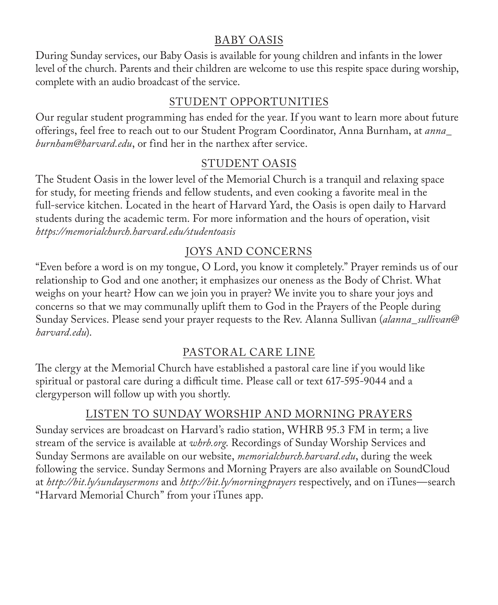## BABY OASIS

During Sunday services, our Baby Oasis is available for young children and infants in the lower level of the church. Parents and their children are welcome to use this respite space during worship, complete with an audio broadcast of the service.

## STUDENT OPPORTUNITIES

Our regular student programming has ended for the year. If you want to learn more about future offerings, feel free to reach out to our Student Program Coordinator, Anna Burnham, at *anna\_ burnham@harvard.edu*, or find her in the narthex after service.

## STUDENT OASIS

The Student Oasis in the lower level of the Memorial Church is a tranquil and relaxing space for study, for meeting friends and fellow students, and even cooking a favorite meal in the full-service kitchen. Located in the heart of Harvard Yard, the Oasis is open daily to Harvard students during the academic term. For more information and the hours of operation, visit *https://memorialchurch.harvard.edu/studentoasis*

## JOYS AND CONCERNS

"Even before a word is on my tongue, O Lord, you know it completely." Prayer reminds us of our relationship to God and one another; it emphasizes our oneness as the Body of Christ. What weighs on your heart? How can we join you in prayer? We invite you to share your joys and concerns so that we may communally uplift them to God in the Prayers of the People during Sunday Services. Please send your prayer requests to the Rev. Alanna Sullivan (*alanna\_sullivan*@ *harvard.edu*).

## PASTORAL CARE LINE

The clergy at the Memorial Church have established a pastoral care line if you would like spiritual or pastoral care during a difficult time. Please call or text 617-595-9044 and a clergyperson will follow up with you shortly.

## LISTEN TO SUNDAY WORSHIP AND MORNING PRAYERS

Sunday services are broadcast on Harvard's radio station, WHRB 95.3 FM in term; a live stream of the service is available at *whrb.org*. Recordings of Sunday Worship Services and Sunday Sermons are available on our website, *memorialchurch.harvard.edu*, during the week following the service. Sunday Sermons and Morning Prayers are also available on SoundCloud at *http://bit.ly/sundaysermons* and *http://bit.ly/morningprayers* respectively, and on iTunes—search "Harvard Memorial Church" from your iTunes app.